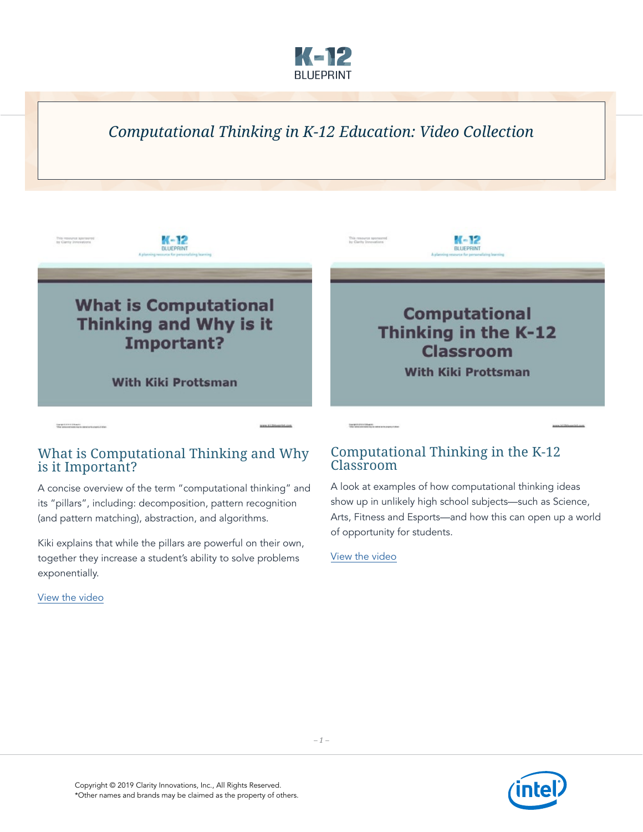

# *Computational Thinking in K-12 Education: Video Collection*



### What is Computational Thinking and Why is it Important?

A concise overview of the term "computational thinking" and its "pillars", including: decomposition, pattern recognition (and pattern matching), abstraction, and algorithms.

Kiki explains that while the pillars are powerful on their own, together they increase a student's ability to solve problems exponentially.

[View the video](https://www.youtube.com/watch?v=vsWxvOolgaM&feature=youtu.be)

### Computational Thinking in the K-12 Classroom

A look at examples of how computational thinking ideas show up in unlikely high school subjects—such as Science, Arts, Fitness and Esports—and how this can open up a world of opportunity for students[.](https://www.youtube.com/watch?v=ZG6M-_ry94k&feature=youtu.be)

[View the video](https://www.youtube.com/watch?v=LoHggRr5sXs&feature=youtu.be)